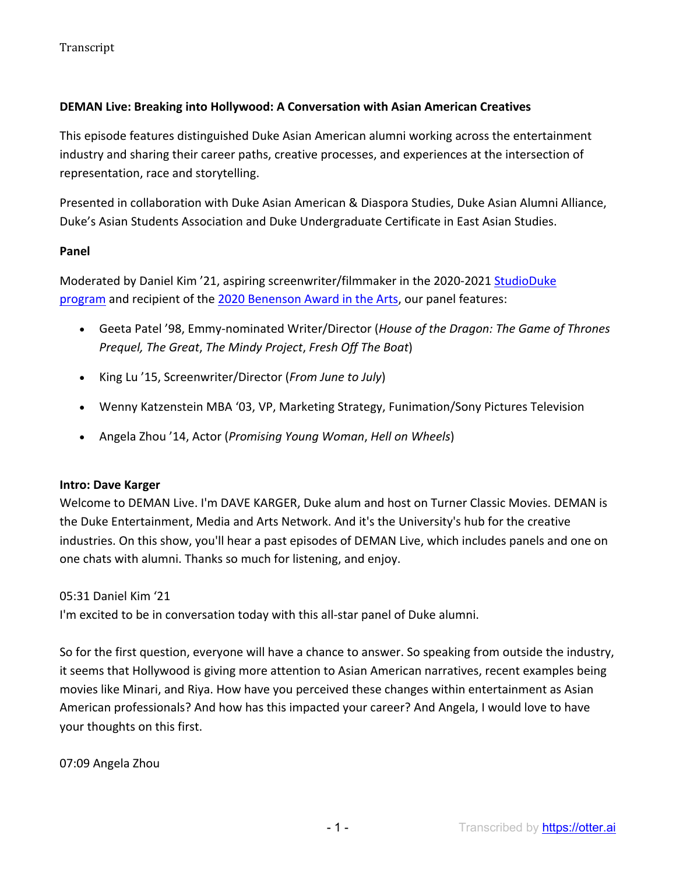## **DEMAN Live: Breaking into Hollywood: A Conversation with Asian American Creatives**

This episode features distinguished Duke Asian American alumni working across the entertainment industry and sharing their career paths, creative processes, and experiences at the intersection of representation, race and storytelling.

Presented in collaboration with Duke Asian American & Diaspora Studies, Duke Asian Alumni Alliance, Duke's Asian Students Association and Duke Undergraduate Certificate in East Asian Studies.

#### **Panel**

Moderated by Daniel Kim '21, aspiring screenwriter/filmmaker in the 2020-2021 StudioDuke program and recipient of the 2020 Benenson Award in the Arts, our panel features:

- Geeta Patel '98, Emmy-nominated Writer/Director (*House of the Dragon: The Game of Thrones Prequel, The Great*, *The Mindy Project*, *Fresh Off The Boat*)
- King Lu '15, Screenwriter/Director (*From June to July*)
- Wenny Katzenstein MBA '03, VP, Marketing Strategy, Funimation/Sony Pictures Television
- Angela Zhou '14, Actor (*Promising Young Woman*, *Hell on Wheels*)

## **Intro: Dave Karger**

Welcome to DEMAN Live. I'm DAVE KARGER, Duke alum and host on Turner Classic Movies. DEMAN is the Duke Entertainment, Media and Arts Network. And it's the University's hub for the creative industries. On this show, you'll hear a past episodes of DEMAN Live, which includes panels and one on one chats with alumni. Thanks so much for listening, and enjoy.

## 05:31 Daniel Kim '21

I'm excited to be in conversation today with this all-star panel of Duke alumni.

So for the first question, everyone will have a chance to answer. So speaking from outside the industry, it seems that Hollywood is giving more attention to Asian American narratives, recent examples being movies like Minari, and Riya. How have you perceived these changes within entertainment as Asian American professionals? And how has this impacted your career? And Angela, I would love to have your thoughts on this first.

07:09 Angela Zhou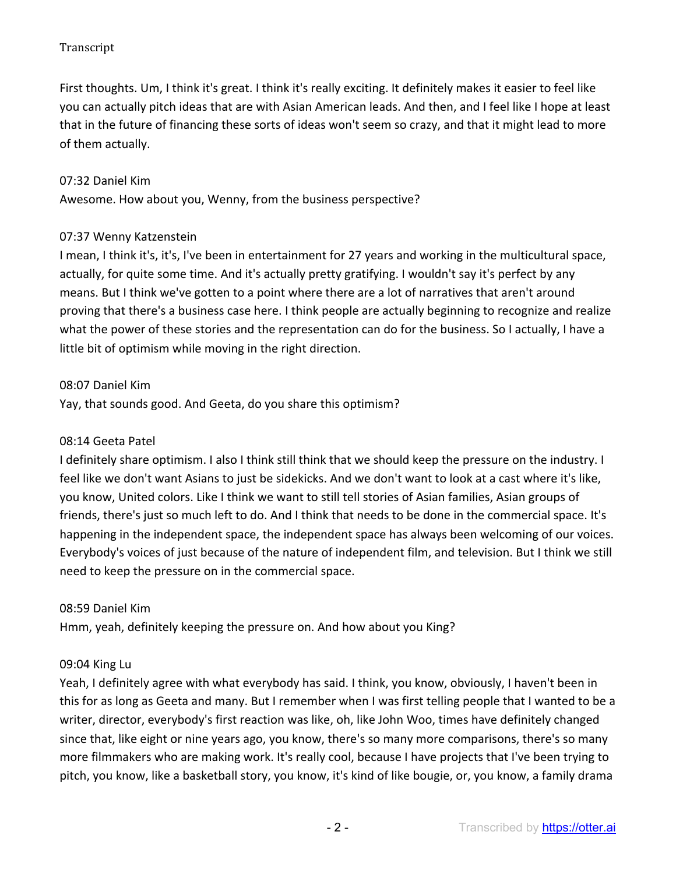First thoughts. Um, I think it's great. I think it's really exciting. It definitely makes it easier to feel like you can actually pitch ideas that are with Asian American leads. And then, and I feel like I hope at least that in the future of financing these sorts of ideas won't seem so crazy, and that it might lead to more of them actually.

#### 07:32 Daniel Kim

Awesome. How about you, Wenny, from the business perspective?

#### 07:37 Wenny Katzenstein

I mean, I think it's, it's, I've been in entertainment for 27 years and working in the multicultural space, actually, for quite some time. And it's actually pretty gratifying. I wouldn't say it's perfect by any means. But I think we've gotten to a point where there are a lot of narratives that aren't around proving that there's a business case here. I think people are actually beginning to recognize and realize what the power of these stories and the representation can do for the business. So I actually, I have a little bit of optimism while moving in the right direction.

#### 08:07 Daniel Kim

Yay, that sounds good. And Geeta, do you share this optimism?

#### 08:14 Geeta Patel

I definitely share optimism. I also I think still think that we should keep the pressure on the industry. I feel like we don't want Asians to just be sidekicks. And we don't want to look at a cast where it's like, you know, United colors. Like I think we want to still tell stories of Asian families, Asian groups of friends, there's just so much left to do. And I think that needs to be done in the commercial space. It's happening in the independent space, the independent space has always been welcoming of our voices. Everybody's voices of just because of the nature of independent film, and television. But I think we still need to keep the pressure on in the commercial space.

#### 08:59 Daniel Kim

Hmm, yeah, definitely keeping the pressure on. And how about you King?

## 09:04 King Lu

Yeah, I definitely agree with what everybody has said. I think, you know, obviously, I haven't been in this for as long as Geeta and many. But I remember when I was first telling people that I wanted to be a writer, director, everybody's first reaction was like, oh, like John Woo, times have definitely changed since that, like eight or nine years ago, you know, there's so many more comparisons, there's so many more filmmakers who are making work. It's really cool, because I have projects that I've been trying to pitch, you know, like a basketball story, you know, it's kind of like bougie, or, you know, a family drama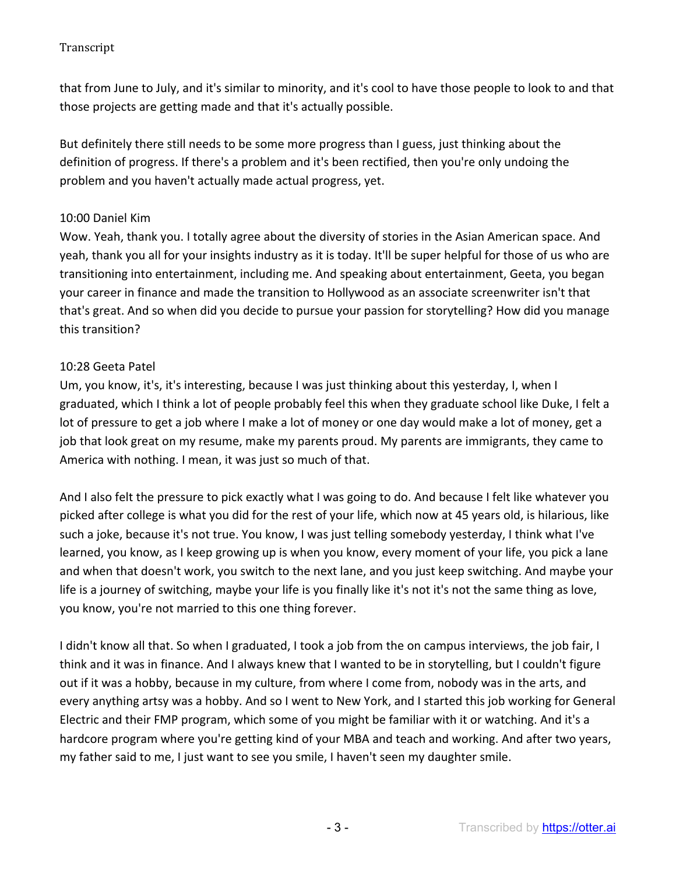that from June to July, and it's similar to minority, and it's cool to have those people to look to and that those projects are getting made and that it's actually possible.

But definitely there still needs to be some more progress than I guess, just thinking about the definition of progress. If there's a problem and it's been rectified, then you're only undoing the problem and you haven't actually made actual progress, yet.

#### 10:00 Daniel Kim

Wow. Yeah, thank you. I totally agree about the diversity of stories in the Asian American space. And yeah, thank you all for your insights industry as it is today. It'll be super helpful for those of us who are transitioning into entertainment, including me. And speaking about entertainment, Geeta, you began your career in finance and made the transition to Hollywood as an associate screenwriter isn't that that's great. And so when did you decide to pursue your passion for storytelling? How did you manage this transition?

#### 10:28 Geeta Patel

Um, you know, it's, it's interesting, because I was just thinking about this yesterday, I, when I graduated, which I think a lot of people probably feel this when they graduate school like Duke, I felt a lot of pressure to get a job where I make a lot of money or one day would make a lot of money, get a job that look great on my resume, make my parents proud. My parents are immigrants, they came to America with nothing. I mean, it was just so much of that.

And I also felt the pressure to pick exactly what I was going to do. And because I felt like whatever you picked after college is what you did for the rest of your life, which now at 45 years old, is hilarious, like such a joke, because it's not true. You know, I was just telling somebody yesterday, I think what I've learned, you know, as I keep growing up is when you know, every moment of your life, you pick a lane and when that doesn't work, you switch to the next lane, and you just keep switching. And maybe your life is a journey of switching, maybe your life is you finally like it's not it's not the same thing as love, you know, you're not married to this one thing forever.

I didn't know all that. So when I graduated, I took a job from the on campus interviews, the job fair, I think and it was in finance. And I always knew that I wanted to be in storytelling, but I couldn't figure out if it was a hobby, because in my culture, from where I come from, nobody was in the arts, and every anything artsy was a hobby. And so I went to New York, and I started this job working for General Electric and their FMP program, which some of you might be familiar with it or watching. And it's a hardcore program where you're getting kind of your MBA and teach and working. And after two years, my father said to me, I just want to see you smile, I haven't seen my daughter smile.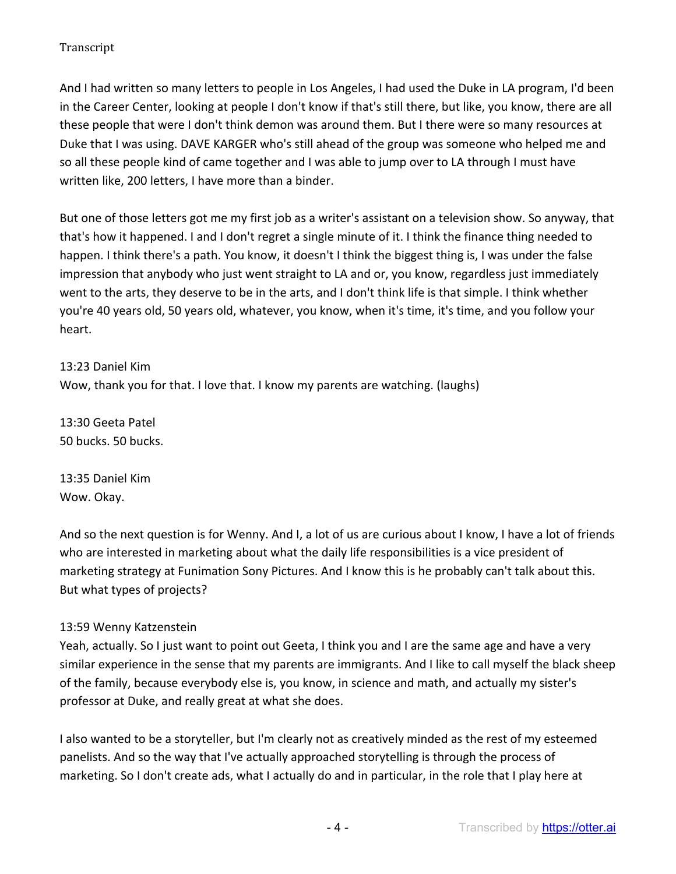And I had written so many letters to people in Los Angeles, I had used the Duke in LA program, I'd been in the Career Center, looking at people I don't know if that's still there, but like, you know, there are all these people that were I don't think demon was around them. But I there were so many resources at Duke that I was using. DAVE KARGER who's still ahead of the group was someone who helped me and so all these people kind of came together and I was able to jump over to LA through I must have written like, 200 letters, I have more than a binder.

But one of those letters got me my first job as a writer's assistant on a television show. So anyway, that that's how it happened. I and I don't regret a single minute of it. I think the finance thing needed to happen. I think there's a path. You know, it doesn't I think the biggest thing is, I was under the false impression that anybody who just went straight to LA and or, you know, regardless just immediately went to the arts, they deserve to be in the arts, and I don't think life is that simple. I think whether you're 40 years old, 50 years old, whatever, you know, when it's time, it's time, and you follow your heart.

13:23 Daniel Kim Wow, thank you for that. I love that. I know my parents are watching. (laughs)

13:30 Geeta Patel 50 bucks. 50 bucks.

13:35 Daniel Kim Wow. Okay.

And so the next question is for Wenny. And I, a lot of us are curious about I know, I have a lot of friends who are interested in marketing about what the daily life responsibilities is a vice president of marketing strategy at Funimation Sony Pictures. And I know this is he probably can't talk about this. But what types of projects?

## 13:59 Wenny Katzenstein

Yeah, actually. So I just want to point out Geeta, I think you and I are the same age and have a very similar experience in the sense that my parents are immigrants. And I like to call myself the black sheep of the family, because everybody else is, you know, in science and math, and actually my sister's professor at Duke, and really great at what she does.

I also wanted to be a storyteller, but I'm clearly not as creatively minded as the rest of my esteemed panelists. And so the way that I've actually approached storytelling is through the process of marketing. So I don't create ads, what I actually do and in particular, in the role that I play here at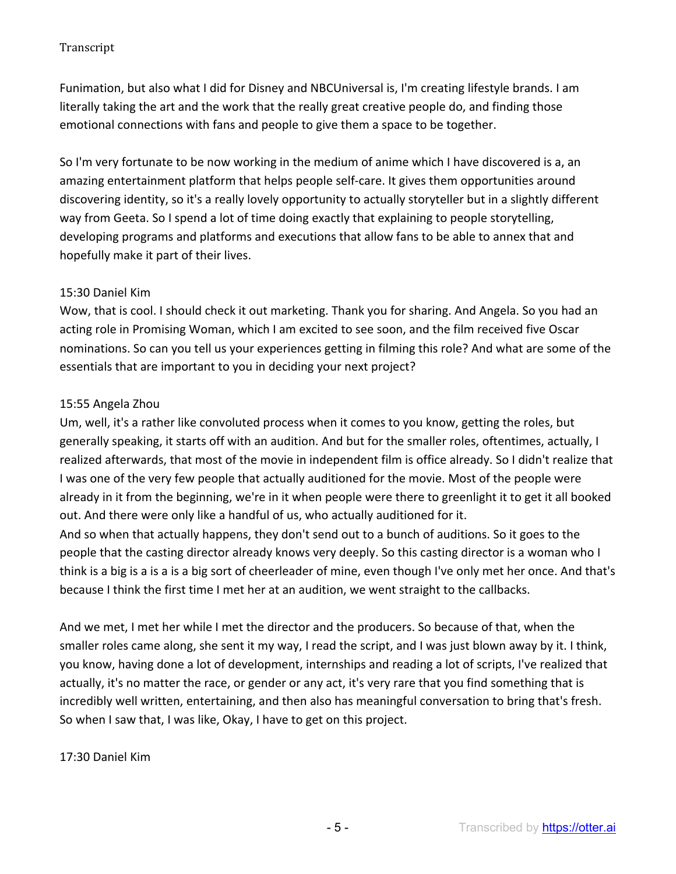Funimation, but also what I did for Disney and NBCUniversal is, I'm creating lifestyle brands. I am literally taking the art and the work that the really great creative people do, and finding those emotional connections with fans and people to give them a space to be together.

So I'm very fortunate to be now working in the medium of anime which I have discovered is a, an amazing entertainment platform that helps people self-care. It gives them opportunities around discovering identity, so it's a really lovely opportunity to actually storyteller but in a slightly different way from Geeta. So I spend a lot of time doing exactly that explaining to people storytelling, developing programs and platforms and executions that allow fans to be able to annex that and hopefully make it part of their lives.

#### 15:30 Daniel Kim

Wow, that is cool. I should check it out marketing. Thank you for sharing. And Angela. So you had an acting role in Promising Woman, which I am excited to see soon, and the film received five Oscar nominations. So can you tell us your experiences getting in filming this role? And what are some of the essentials that are important to you in deciding your next project?

#### 15:55 Angela Zhou

Um, well, it's a rather like convoluted process when it comes to you know, getting the roles, but generally speaking, it starts off with an audition. And but for the smaller roles, oftentimes, actually, I realized afterwards, that most of the movie in independent film is office already. So I didn't realize that I was one of the very few people that actually auditioned for the movie. Most of the people were already in it from the beginning, we're in it when people were there to greenlight it to get it all booked out. And there were only like a handful of us, who actually auditioned for it.

And so when that actually happens, they don't send out to a bunch of auditions. So it goes to the people that the casting director already knows very deeply. So this casting director is a woman who I think is a big is a is a is a big sort of cheerleader of mine, even though I've only met her once. And that's because I think the first time I met her at an audition, we went straight to the callbacks.

And we met, I met her while I met the director and the producers. So because of that, when the smaller roles came along, she sent it my way, I read the script, and I was just blown away by it. I think, you know, having done a lot of development, internships and reading a lot of scripts, I've realized that actually, it's no matter the race, or gender or any act, it's very rare that you find something that is incredibly well written, entertaining, and then also has meaningful conversation to bring that's fresh. So when I saw that, I was like, Okay, I have to get on this project.

## 17:30 Daniel Kim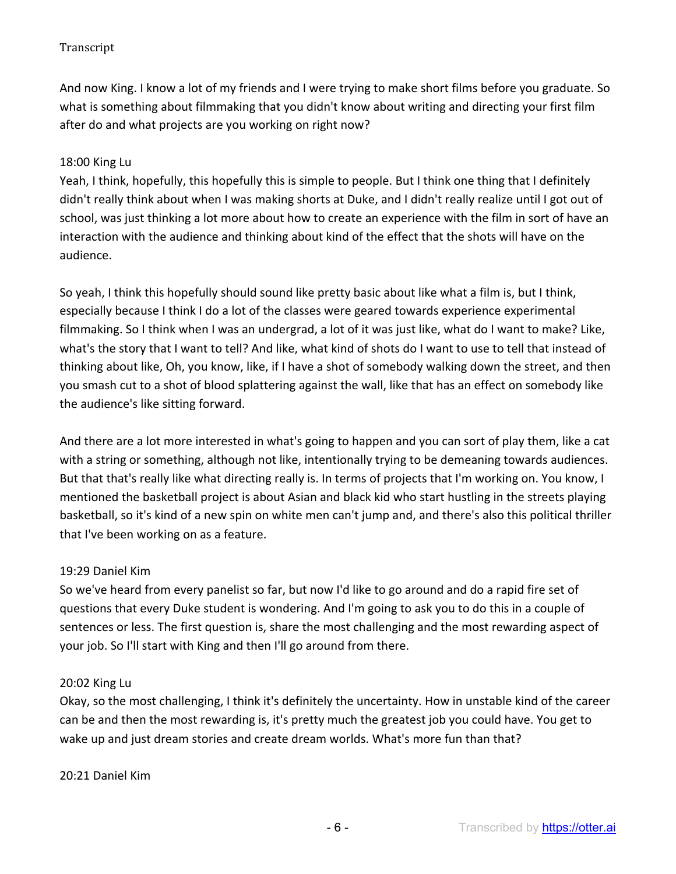And now King. I know a lot of my friends and I were trying to make short films before you graduate. So what is something about filmmaking that you didn't know about writing and directing your first film after do and what projects are you working on right now?

### 18:00 King Lu

Yeah, I think, hopefully, this hopefully this is simple to people. But I think one thing that I definitely didn't really think about when I was making shorts at Duke, and I didn't really realize until I got out of school, was just thinking a lot more about how to create an experience with the film in sort of have an interaction with the audience and thinking about kind of the effect that the shots will have on the audience.

So yeah, I think this hopefully should sound like pretty basic about like what a film is, but I think, especially because I think I do a lot of the classes were geared towards experience experimental filmmaking. So I think when I was an undergrad, a lot of it was just like, what do I want to make? Like, what's the story that I want to tell? And like, what kind of shots do I want to use to tell that instead of thinking about like, Oh, you know, like, if I have a shot of somebody walking down the street, and then you smash cut to a shot of blood splattering against the wall, like that has an effect on somebody like the audience's like sitting forward.

And there are a lot more interested in what's going to happen and you can sort of play them, like a cat with a string or something, although not like, intentionally trying to be demeaning towards audiences. But that that's really like what directing really is. In terms of projects that I'm working on. You know, I mentioned the basketball project is about Asian and black kid who start hustling in the streets playing basketball, so it's kind of a new spin on white men can't jump and, and there's also this political thriller that I've been working on as a feature.

#### 19:29 Daniel Kim

So we've heard from every panelist so far, but now I'd like to go around and do a rapid fire set of questions that every Duke student is wondering. And I'm going to ask you to do this in a couple of sentences or less. The first question is, share the most challenging and the most rewarding aspect of your job. So I'll start with King and then I'll go around from there.

#### 20:02 King Lu

Okay, so the most challenging, I think it's definitely the uncertainty. How in unstable kind of the career can be and then the most rewarding is, it's pretty much the greatest job you could have. You get to wake up and just dream stories and create dream worlds. What's more fun than that?

#### 20:21 Daniel Kim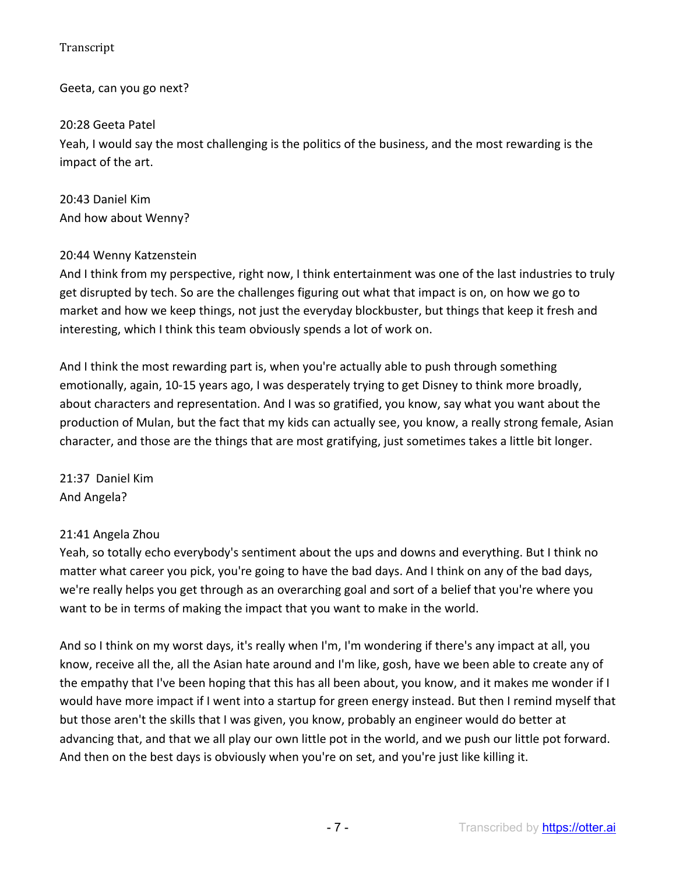Geeta, can you go next?

20:28 Geeta Patel

Yeah, I would say the most challenging is the politics of the business, and the most rewarding is the impact of the art.

20:43 Daniel Kim And how about Wenny?

## 20:44 Wenny Katzenstein

And I think from my perspective, right now, I think entertainment was one of the last industries to truly get disrupted by tech. So are the challenges figuring out what that impact is on, on how we go to market and how we keep things, not just the everyday blockbuster, but things that keep it fresh and interesting, which I think this team obviously spends a lot of work on.

And I think the most rewarding part is, when you're actually able to push through something emotionally, again, 10-15 years ago, I was desperately trying to get Disney to think more broadly, about characters and representation. And I was so gratified, you know, say what you want about the production of Mulan, but the fact that my kids can actually see, you know, a really strong female, Asian character, and those are the things that are most gratifying, just sometimes takes a little bit longer.

21:37 Daniel Kim And Angela?

# 21:41 Angela Zhou

Yeah, so totally echo everybody's sentiment about the ups and downs and everything. But I think no matter what career you pick, you're going to have the bad days. And I think on any of the bad days, we're really helps you get through as an overarching goal and sort of a belief that you're where you want to be in terms of making the impact that you want to make in the world.

And so I think on my worst days, it's really when I'm, I'm wondering if there's any impact at all, you know, receive all the, all the Asian hate around and I'm like, gosh, have we been able to create any of the empathy that I've been hoping that this has all been about, you know, and it makes me wonder if I would have more impact if I went into a startup for green energy instead. But then I remind myself that but those aren't the skills that I was given, you know, probably an engineer would do better at advancing that, and that we all play our own little pot in the world, and we push our little pot forward. And then on the best days is obviously when you're on set, and you're just like killing it.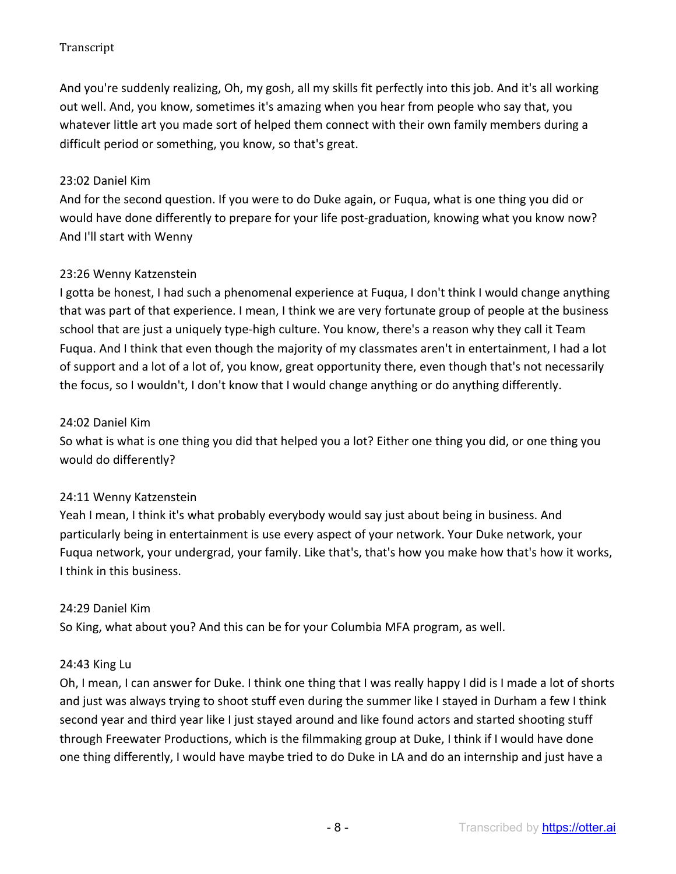And you're suddenly realizing, Oh, my gosh, all my skills fit perfectly into this job. And it's all working out well. And, you know, sometimes it's amazing when you hear from people who say that, you whatever little art you made sort of helped them connect with their own family members during a difficult period or something, you know, so that's great.

### 23:02 Daniel Kim

And for the second question. If you were to do Duke again, or Fuqua, what is one thing you did or would have done differently to prepare for your life post-graduation, knowing what you know now? And I'll start with Wenny

#### 23:26 Wenny Katzenstein

I gotta be honest, I had such a phenomenal experience at Fuqua, I don't think I would change anything that was part of that experience. I mean, I think we are very fortunate group of people at the business school that are just a uniquely type-high culture. You know, there's a reason why they call it Team Fuqua. And I think that even though the majority of my classmates aren't in entertainment, I had a lot of support and a lot of a lot of, you know, great opportunity there, even though that's not necessarily the focus, so I wouldn't, I don't know that I would change anything or do anything differently.

#### 24:02 Daniel Kim

So what is what is one thing you did that helped you a lot? Either one thing you did, or one thing you would do differently?

## 24:11 Wenny Katzenstein

Yeah I mean, I think it's what probably everybody would say just about being in business. And particularly being in entertainment is use every aspect of your network. Your Duke network, your Fuqua network, your undergrad, your family. Like that's, that's how you make how that's how it works, I think in this business.

## 24:29 Daniel Kim

So King, what about you? And this can be for your Columbia MFA program, as well.

## 24:43 King Lu

Oh, I mean, I can answer for Duke. I think one thing that I was really happy I did is I made a lot of shorts and just was always trying to shoot stuff even during the summer like I stayed in Durham a few I think second year and third year like I just stayed around and like found actors and started shooting stuff through Freewater Productions, which is the filmmaking group at Duke, I think if I would have done one thing differently, I would have maybe tried to do Duke in LA and do an internship and just have a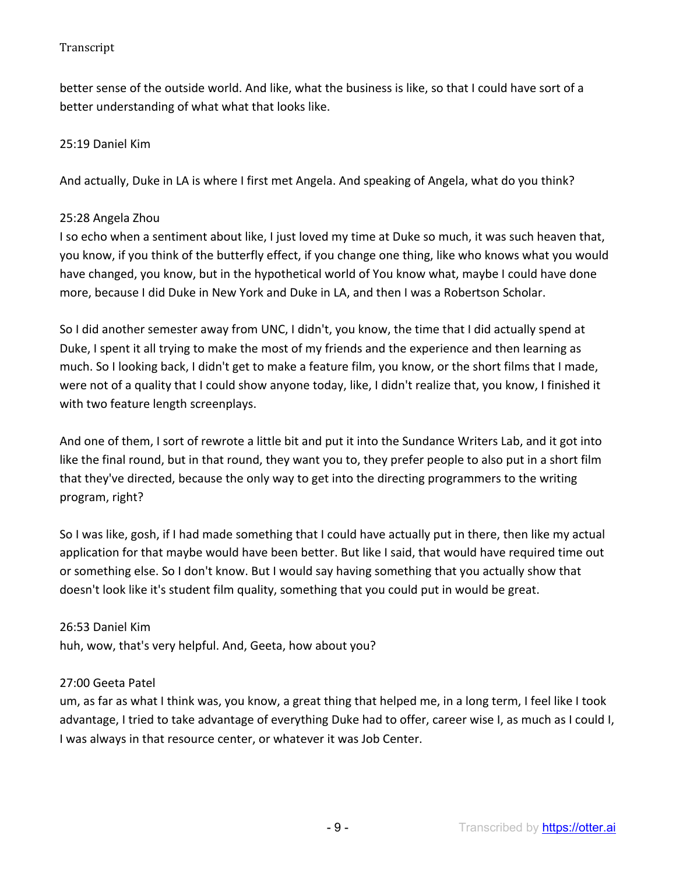better sense of the outside world. And like, what the business is like, so that I could have sort of a better understanding of what what that looks like.

### 25:19 Daniel Kim

And actually, Duke in LA is where I first met Angela. And speaking of Angela, what do you think?

### 25:28 Angela Zhou

I so echo when a sentiment about like, I just loved my time at Duke so much, it was such heaven that, you know, if you think of the butterfly effect, if you change one thing, like who knows what you would have changed, you know, but in the hypothetical world of You know what, maybe I could have done more, because I did Duke in New York and Duke in LA, and then I was a Robertson Scholar.

So I did another semester away from UNC, I didn't, you know, the time that I did actually spend at Duke, I spent it all trying to make the most of my friends and the experience and then learning as much. So I looking back, I didn't get to make a feature film, you know, or the short films that I made, were not of a quality that I could show anyone today, like, I didn't realize that, you know, I finished it with two feature length screenplays.

And one of them, I sort of rewrote a little bit and put it into the Sundance Writers Lab, and it got into like the final round, but in that round, they want you to, they prefer people to also put in a short film that they've directed, because the only way to get into the directing programmers to the writing program, right?

So I was like, gosh, if I had made something that I could have actually put in there, then like my actual application for that maybe would have been better. But like I said, that would have required time out or something else. So I don't know. But I would say having something that you actually show that doesn't look like it's student film quality, something that you could put in would be great.

#### 26:53 Daniel Kim

huh, wow, that's very helpful. And, Geeta, how about you?

## 27:00 Geeta Patel

um, as far as what I think was, you know, a great thing that helped me, in a long term, I feel like I took advantage, I tried to take advantage of everything Duke had to offer, career wise I, as much as I could I, I was always in that resource center, or whatever it was Job Center.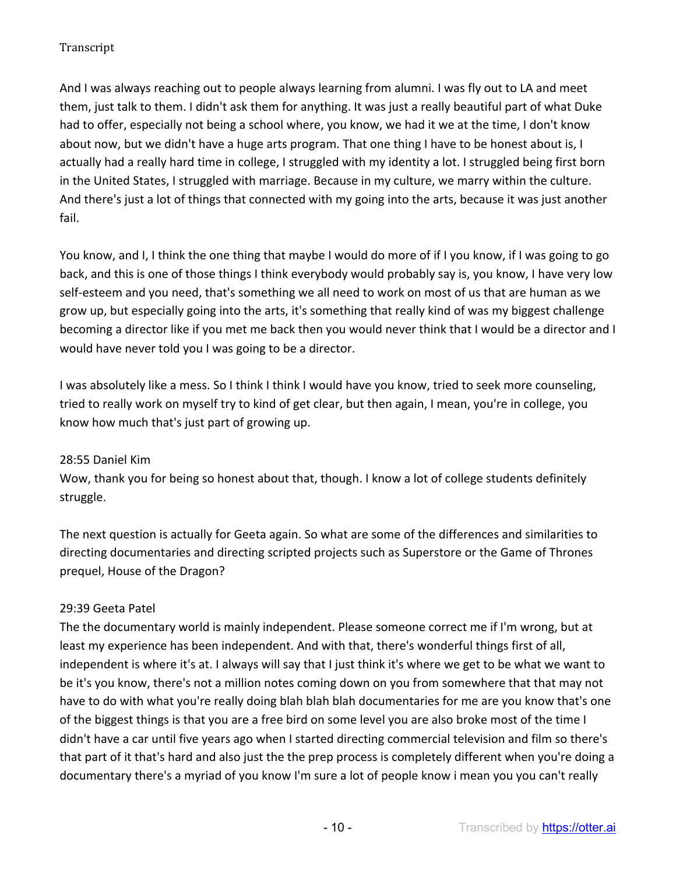And I was always reaching out to people always learning from alumni. I was fly out to LA and meet them, just talk to them. I didn't ask them for anything. It was just a really beautiful part of what Duke had to offer, especially not being a school where, you know, we had it we at the time, I don't know about now, but we didn't have a huge arts program. That one thing I have to be honest about is, I actually had a really hard time in college, I struggled with my identity a lot. I struggled being first born in the United States, I struggled with marriage. Because in my culture, we marry within the culture. And there's just a lot of things that connected with my going into the arts, because it was just another fail.

You know, and I, I think the one thing that maybe I would do more of if I you know, if I was going to go back, and this is one of those things I think everybody would probably say is, you know, I have very low self-esteem and you need, that's something we all need to work on most of us that are human as we grow up, but especially going into the arts, it's something that really kind of was my biggest challenge becoming a director like if you met me back then you would never think that I would be a director and I would have never told you I was going to be a director.

I was absolutely like a mess. So I think I think I would have you know, tried to seek more counseling, tried to really work on myself try to kind of get clear, but then again, I mean, you're in college, you know how much that's just part of growing up.

## 28:55 Daniel Kim

Wow, thank you for being so honest about that, though. I know a lot of college students definitely struggle.

The next question is actually for Geeta again. So what are some of the differences and similarities to directing documentaries and directing scripted projects such as Superstore or the Game of Thrones prequel, House of the Dragon?

# 29:39 Geeta Patel

The the documentary world is mainly independent. Please someone correct me if I'm wrong, but at least my experience has been independent. And with that, there's wonderful things first of all, independent is where it's at. I always will say that I just think it's where we get to be what we want to be it's you know, there's not a million notes coming down on you from somewhere that that may not have to do with what you're really doing blah blah blah documentaries for me are you know that's one of the biggest things is that you are a free bird on some level you are also broke most of the time I didn't have a car until five years ago when I started directing commercial television and film so there's that part of it that's hard and also just the the prep process is completely different when you're doing a documentary there's a myriad of you know I'm sure a lot of people know i mean you you can't really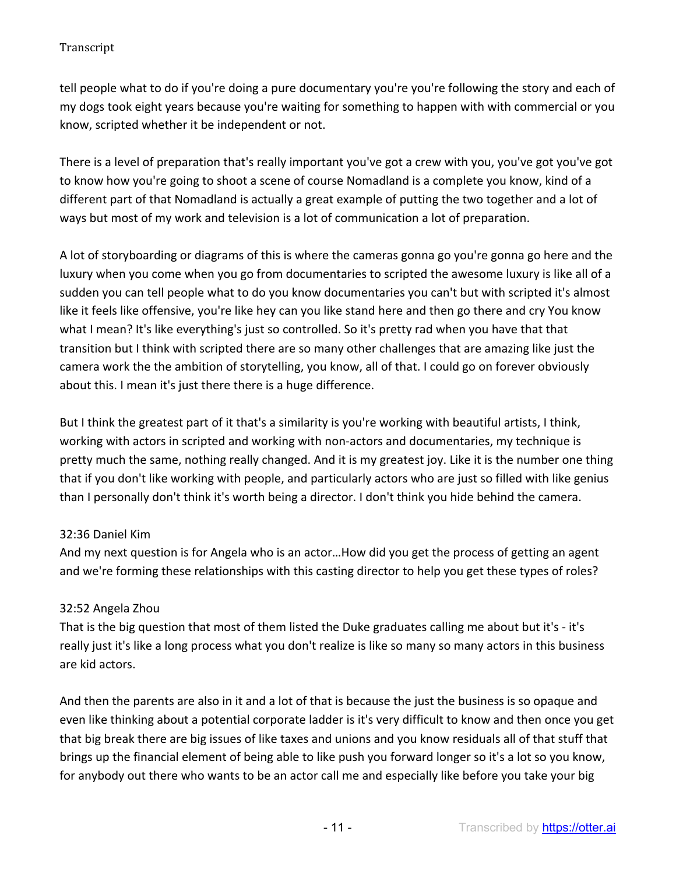tell people what to do if you're doing a pure documentary you're you're following the story and each of my dogs took eight years because you're waiting for something to happen with with commercial or you know, scripted whether it be independent or not.

There is a level of preparation that's really important you've got a crew with you, you've got you've got to know how you're going to shoot a scene of course Nomadland is a complete you know, kind of a different part of that Nomadland is actually a great example of putting the two together and a lot of ways but most of my work and television is a lot of communication a lot of preparation.

A lot of storyboarding or diagrams of this is where the cameras gonna go you're gonna go here and the luxury when you come when you go from documentaries to scripted the awesome luxury is like all of a sudden you can tell people what to do you know documentaries you can't but with scripted it's almost like it feels like offensive, you're like hey can you like stand here and then go there and cry You know what I mean? It's like everything's just so controlled. So it's pretty rad when you have that that transition but I think with scripted there are so many other challenges that are amazing like just the camera work the the ambition of storytelling, you know, all of that. I could go on forever obviously about this. I mean it's just there there is a huge difference.

But I think the greatest part of it that's a similarity is you're working with beautiful artists, I think, working with actors in scripted and working with non-actors and documentaries, my technique is pretty much the same, nothing really changed. And it is my greatest joy. Like it is the number one thing that if you don't like working with people, and particularly actors who are just so filled with like genius than I personally don't think it's worth being a director. I don't think you hide behind the camera.

# 32:36 Daniel Kim

And my next question is for Angela who is an actor…How did you get the process of getting an agent and we're forming these relationships with this casting director to help you get these types of roles?

# 32:52 Angela Zhou

That is the big question that most of them listed the Duke graduates calling me about but it's - it's really just it's like a long process what you don't realize is like so many so many actors in this business are kid actors.

And then the parents are also in it and a lot of that is because the just the business is so opaque and even like thinking about a potential corporate ladder is it's very difficult to know and then once you get that big break there are big issues of like taxes and unions and you know residuals all of that stuff that brings up the financial element of being able to like push you forward longer so it's a lot so you know, for anybody out there who wants to be an actor call me and especially like before you take your big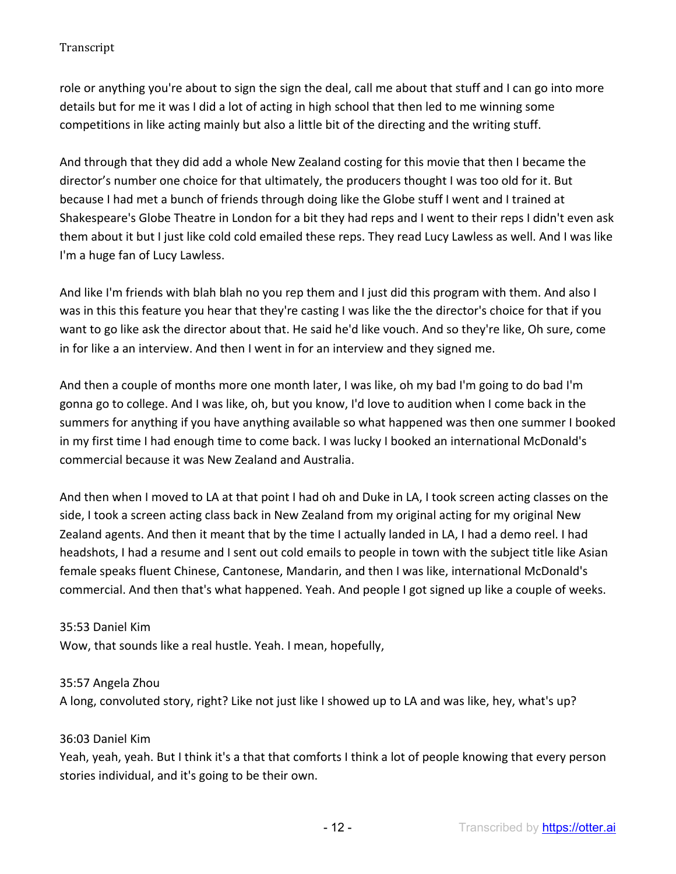role or anything you're about to sign the sign the deal, call me about that stuff and I can go into more details but for me it was I did a lot of acting in high school that then led to me winning some competitions in like acting mainly but also a little bit of the directing and the writing stuff.

And through that they did add a whole New Zealand costing for this movie that then I became the director's number one choice for that ultimately, the producers thought I was too old for it. But because I had met a bunch of friends through doing like the Globe stuff I went and I trained at Shakespeare's Globe Theatre in London for a bit they had reps and I went to their reps I didn't even ask them about it but I just like cold cold emailed these reps. They read Lucy Lawless as well. And I was like I'm a huge fan of Lucy Lawless.

And like I'm friends with blah blah no you rep them and I just did this program with them. And also I was in this this feature you hear that they're casting I was like the the director's choice for that if you want to go like ask the director about that. He said he'd like vouch. And so they're like, Oh sure, come in for like a an interview. And then I went in for an interview and they signed me.

And then a couple of months more one month later, I was like, oh my bad I'm going to do bad I'm gonna go to college. And I was like, oh, but you know, I'd love to audition when I come back in the summers for anything if you have anything available so what happened was then one summer I booked in my first time I had enough time to come back. I was lucky I booked an international McDonald's commercial because it was New Zealand and Australia.

And then when I moved to LA at that point I had oh and Duke in LA, I took screen acting classes on the side, I took a screen acting class back in New Zealand from my original acting for my original New Zealand agents. And then it meant that by the time I actually landed in LA, I had a demo reel. I had headshots, I had a resume and I sent out cold emails to people in town with the subject title like Asian female speaks fluent Chinese, Cantonese, Mandarin, and then I was like, international McDonald's commercial. And then that's what happened. Yeah. And people I got signed up like a couple of weeks.

## 35:53 Daniel Kim

Wow, that sounds like a real hustle. Yeah. I mean, hopefully,

## 35:57 Angela Zhou

A long, convoluted story, right? Like not just like I showed up to LA and was like, hey, what's up?

## 36:03 Daniel Kim

Yeah, yeah, yeah. But I think it's a that that comforts I think a lot of people knowing that every person stories individual, and it's going to be their own.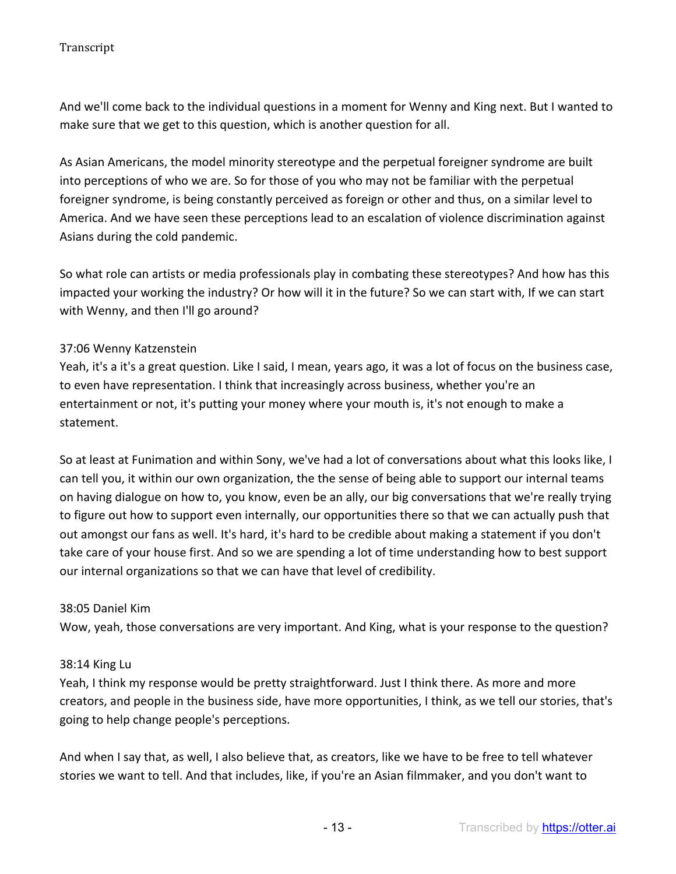And we'll come back to the individual questions in a moment for Wenny and King next. But I wanted to make sure that we get to this question, which is another question for all.

As Asian Americans, the model minority stereotype and the perpetual foreigner syndrome are built into perceptions of who we are. So for those of you who may not be familiar with the perpetual foreigner syndrome, is being constantly perceived as foreign or other and thus, on a similar level to America. And we have seen these perceptions lead to an escalation of violence discrimination against Asians during the cold pandemic.

So what role can artists or media professionals play in combating these stereotypes? And how has this impacted your working the industry? Or how will it in the future? So we can start with, If we can start with Wenny, and then I'll go around?

#### 37:06 Wenny Katzenstein

Yeah, it's a it's a great question. Like I said, I mean, years ago, it was a lot of focus on the business case, to even have representation. I think that increasingly across business, whether you're an entertainment or not, it's putting your money where your mouth is, it's not enough to make a statement.

So at least at Funimation and within Sony, we've had a lot of conversations about what this looks like, I can tell you, it within our own organization, the the sense of being able to support our internal teams on having dialogue on how to, you know, even be an ally, our big conversations that we're really trying to figure out how to support even internally, our opportunities there so that we can actually push that out amongst our fans as well. It's hard, it's hard to be credible about making a statement if you don't take care of your house first. And so we are spending a lot of time understanding how to best support our internal organizations so that we can have that level of credibility.

#### 38:05 Daniel Kim

Wow, yeah, those conversations are very important. And King, what is your response to the question?

#### 38:14 King Lu

Yeah, I think my response would be pretty straightforward. Just I think there. As more and more creators, and people in the business side, have more opportunities, I think, as we tell our stories, that's going to help change people's perceptions.

And when I say that, as well, I also believe that, as creators, like we have to be free to tell whatever stories we want to tell. And that includes, like, if you're an Asian filmmaker, and you don't want to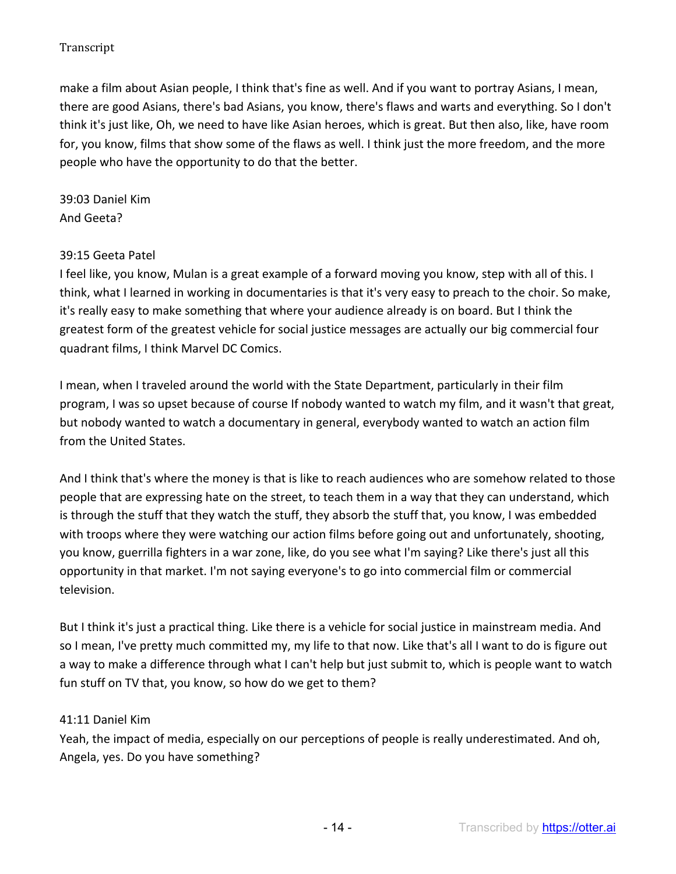make a film about Asian people, I think that's fine as well. And if you want to portray Asians, I mean, there are good Asians, there's bad Asians, you know, there's flaws and warts and everything. So I don't think it's just like, Oh, we need to have like Asian heroes, which is great. But then also, like, have room for, you know, films that show some of the flaws as well. I think just the more freedom, and the more people who have the opportunity to do that the better.

39:03 Daniel Kim And Geeta?

#### 39:15 Geeta Patel

I feel like, you know, Mulan is a great example of a forward moving you know, step with all of this. I think, what I learned in working in documentaries is that it's very easy to preach to the choir. So make, it's really easy to make something that where your audience already is on board. But I think the greatest form of the greatest vehicle for social justice messages are actually our big commercial four quadrant films, I think Marvel DC Comics.

I mean, when I traveled around the world with the State Department, particularly in their film program, I was so upset because of course If nobody wanted to watch my film, and it wasn't that great, but nobody wanted to watch a documentary in general, everybody wanted to watch an action film from the United States.

And I think that's where the money is that is like to reach audiences who are somehow related to those people that are expressing hate on the street, to teach them in a way that they can understand, which is through the stuff that they watch the stuff, they absorb the stuff that, you know, I was embedded with troops where they were watching our action films before going out and unfortunately, shooting, you know, guerrilla fighters in a war zone, like, do you see what I'm saying? Like there's just all this opportunity in that market. I'm not saying everyone's to go into commercial film or commercial television.

But I think it's just a practical thing. Like there is a vehicle for social justice in mainstream media. And so I mean, I've pretty much committed my, my life to that now. Like that's all I want to do is figure out a way to make a difference through what I can't help but just submit to, which is people want to watch fun stuff on TV that, you know, so how do we get to them?

#### 41:11 Daniel Kim

Yeah, the impact of media, especially on our perceptions of people is really underestimated. And oh, Angela, yes. Do you have something?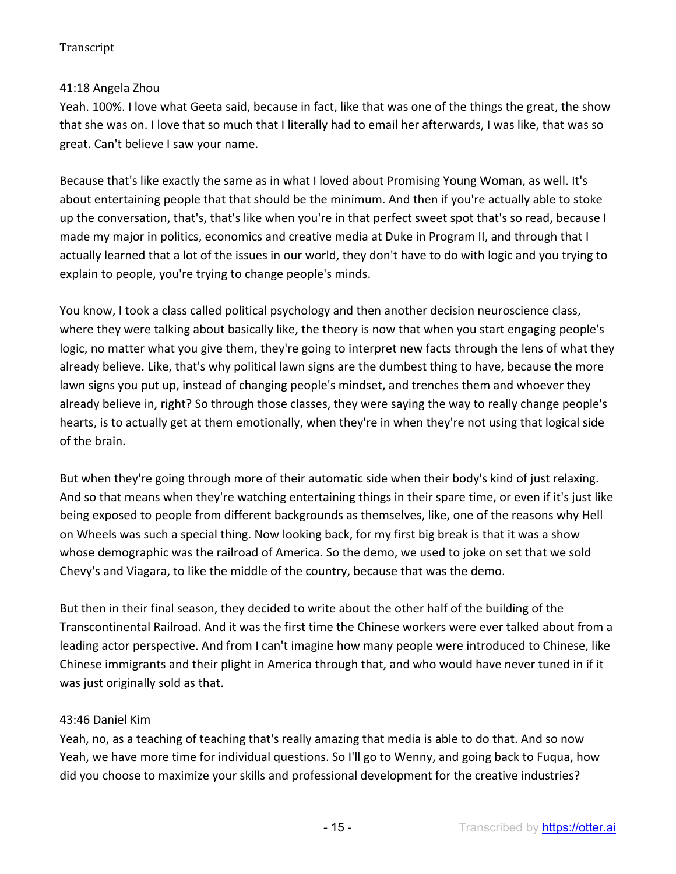# 41:18 Angela Zhou

Yeah. 100%. I love what Geeta said, because in fact, like that was one of the things the great, the show that she was on. I love that so much that I literally had to email her afterwards, I was like, that was so great. Can't believe I saw your name.

Because that's like exactly the same as in what I loved about Promising Young Woman, as well. It's about entertaining people that that should be the minimum. And then if you're actually able to stoke up the conversation, that's, that's like when you're in that perfect sweet spot that's so read, because I made my major in politics, economics and creative media at Duke in Program II, and through that I actually learned that a lot of the issues in our world, they don't have to do with logic and you trying to explain to people, you're trying to change people's minds.

You know, I took a class called political psychology and then another decision neuroscience class, where they were talking about basically like, the theory is now that when you start engaging people's logic, no matter what you give them, they're going to interpret new facts through the lens of what they already believe. Like, that's why political lawn signs are the dumbest thing to have, because the more lawn signs you put up, instead of changing people's mindset, and trenches them and whoever they already believe in, right? So through those classes, they were saying the way to really change people's hearts, is to actually get at them emotionally, when they're in when they're not using that logical side of the brain.

But when they're going through more of their automatic side when their body's kind of just relaxing. And so that means when they're watching entertaining things in their spare time, or even if it's just like being exposed to people from different backgrounds as themselves, like, one of the reasons why Hell on Wheels was such a special thing. Now looking back, for my first big break is that it was a show whose demographic was the railroad of America. So the demo, we used to joke on set that we sold Chevy's and Viagara, to like the middle of the country, because that was the demo.

But then in their final season, they decided to write about the other half of the building of the Transcontinental Railroad. And it was the first time the Chinese workers were ever talked about from a leading actor perspective. And from I can't imagine how many people were introduced to Chinese, like Chinese immigrants and their plight in America through that, and who would have never tuned in if it was just originally sold as that.

## 43:46 Daniel Kim

Yeah, no, as a teaching of teaching that's really amazing that media is able to do that. And so now Yeah, we have more time for individual questions. So I'll go to Wenny, and going back to Fuqua, how did you choose to maximize your skills and professional development for the creative industries?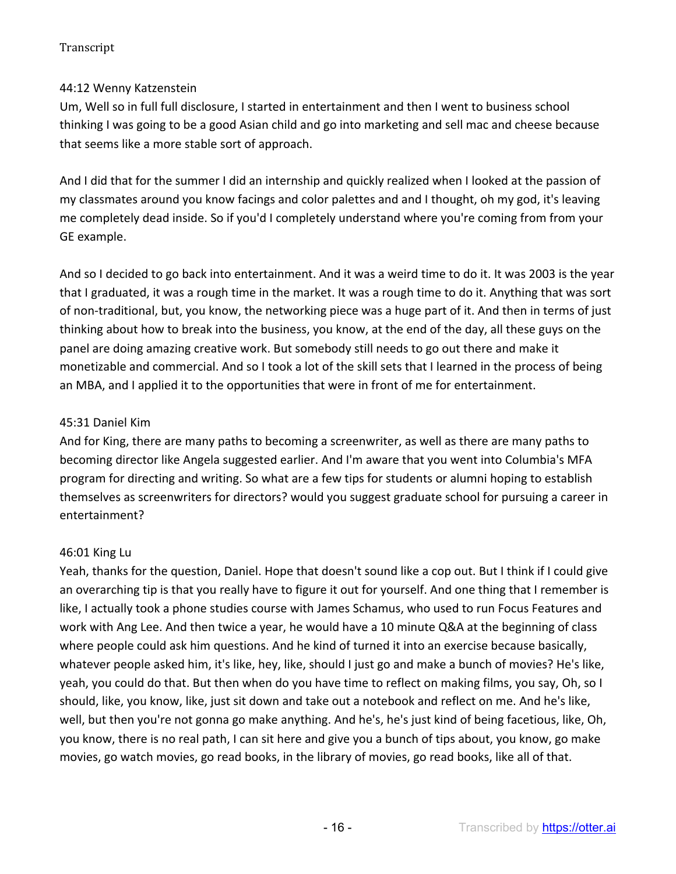# 44:12 Wenny Katzenstein

Um, Well so in full full disclosure, I started in entertainment and then I went to business school thinking I was going to be a good Asian child and go into marketing and sell mac and cheese because that seems like a more stable sort of approach.

And I did that for the summer I did an internship and quickly realized when I looked at the passion of my classmates around you know facings and color palettes and and I thought, oh my god, it's leaving me completely dead inside. So if you'd I completely understand where you're coming from from your GE example.

And so I decided to go back into entertainment. And it was a weird time to do it. It was 2003 is the year that I graduated, it was a rough time in the market. It was a rough time to do it. Anything that was sort of non-traditional, but, you know, the networking piece was a huge part of it. And then in terms of just thinking about how to break into the business, you know, at the end of the day, all these guys on the panel are doing amazing creative work. But somebody still needs to go out there and make it monetizable and commercial. And so I took a lot of the skill sets that I learned in the process of being an MBA, and I applied it to the opportunities that were in front of me for entertainment.

## 45:31 Daniel Kim

And for King, there are many paths to becoming a screenwriter, as well as there are many paths to becoming director like Angela suggested earlier. And I'm aware that you went into Columbia's MFA program for directing and writing. So what are a few tips for students or alumni hoping to establish themselves as screenwriters for directors? would you suggest graduate school for pursuing a career in entertainment?

# 46:01 King Lu

Yeah, thanks for the question, Daniel. Hope that doesn't sound like a cop out. But I think if I could give an overarching tip is that you really have to figure it out for yourself. And one thing that I remember is like, I actually took a phone studies course with James Schamus, who used to run Focus Features and work with Ang Lee. And then twice a year, he would have a 10 minute Q&A at the beginning of class where people could ask him questions. And he kind of turned it into an exercise because basically, whatever people asked him, it's like, hey, like, should I just go and make a bunch of movies? He's like, yeah, you could do that. But then when do you have time to reflect on making films, you say, Oh, so I should, like, you know, like, just sit down and take out a notebook and reflect on me. And he's like, well, but then you're not gonna go make anything. And he's, he's just kind of being facetious, like, Oh, you know, there is no real path, I can sit here and give you a bunch of tips about, you know, go make movies, go watch movies, go read books, in the library of movies, go read books, like all of that.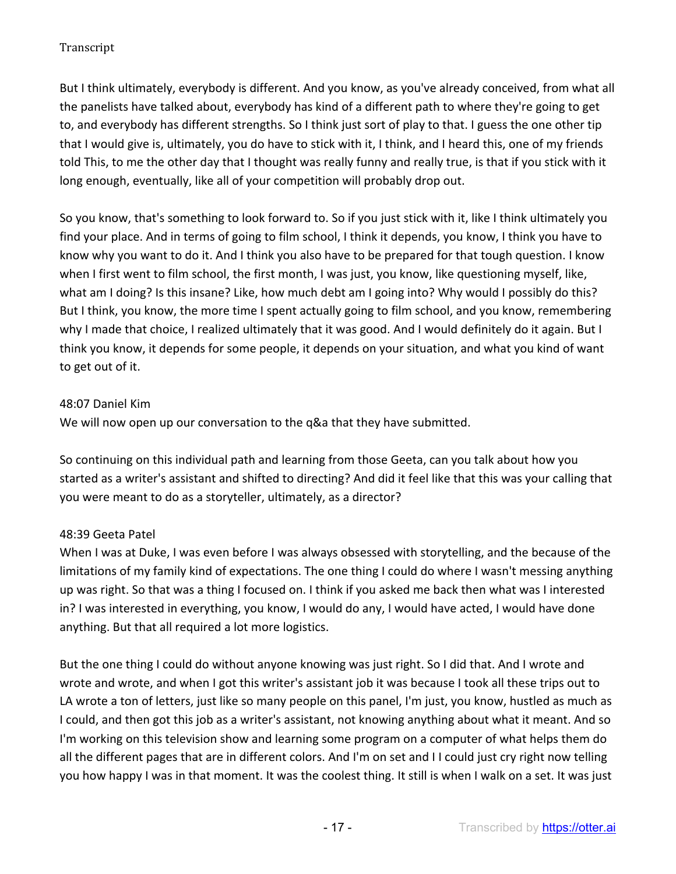But I think ultimately, everybody is different. And you know, as you've already conceived, from what all the panelists have talked about, everybody has kind of a different path to where they're going to get to, and everybody has different strengths. So I think just sort of play to that. I guess the one other tip that I would give is, ultimately, you do have to stick with it, I think, and I heard this, one of my friends told This, to me the other day that I thought was really funny and really true, is that if you stick with it long enough, eventually, like all of your competition will probably drop out.

So you know, that's something to look forward to. So if you just stick with it, like I think ultimately you find your place. And in terms of going to film school, I think it depends, you know, I think you have to know why you want to do it. And I think you also have to be prepared for that tough question. I know when I first went to film school, the first month, I was just, you know, like questioning myself, like, what am I doing? Is this insane? Like, how much debt am I going into? Why would I possibly do this? But I think, you know, the more time I spent actually going to film school, and you know, remembering why I made that choice, I realized ultimately that it was good. And I would definitely do it again. But I think you know, it depends for some people, it depends on your situation, and what you kind of want to get out of it.

## 48:07 Daniel Kim

We will now open up our conversation to the q&a that they have submitted.

So continuing on this individual path and learning from those Geeta, can you talk about how you started as a writer's assistant and shifted to directing? And did it feel like that this was your calling that you were meant to do as a storyteller, ultimately, as a director?

# 48:39 Geeta Patel

When I was at Duke, I was even before I was always obsessed with storytelling, and the because of the limitations of my family kind of expectations. The one thing I could do where I wasn't messing anything up was right. So that was a thing I focused on. I think if you asked me back then what was I interested in? I was interested in everything, you know, I would do any, I would have acted, I would have done anything. But that all required a lot more logistics.

But the one thing I could do without anyone knowing was just right. So I did that. And I wrote and wrote and wrote, and when I got this writer's assistant job it was because I took all these trips out to LA wrote a ton of letters, just like so many people on this panel, I'm just, you know, hustled as much as I could, and then got this job as a writer's assistant, not knowing anything about what it meant. And so I'm working on this television show and learning some program on a computer of what helps them do all the different pages that are in different colors. And I'm on set and I I could just cry right now telling you how happy I was in that moment. It was the coolest thing. It still is when I walk on a set. It was just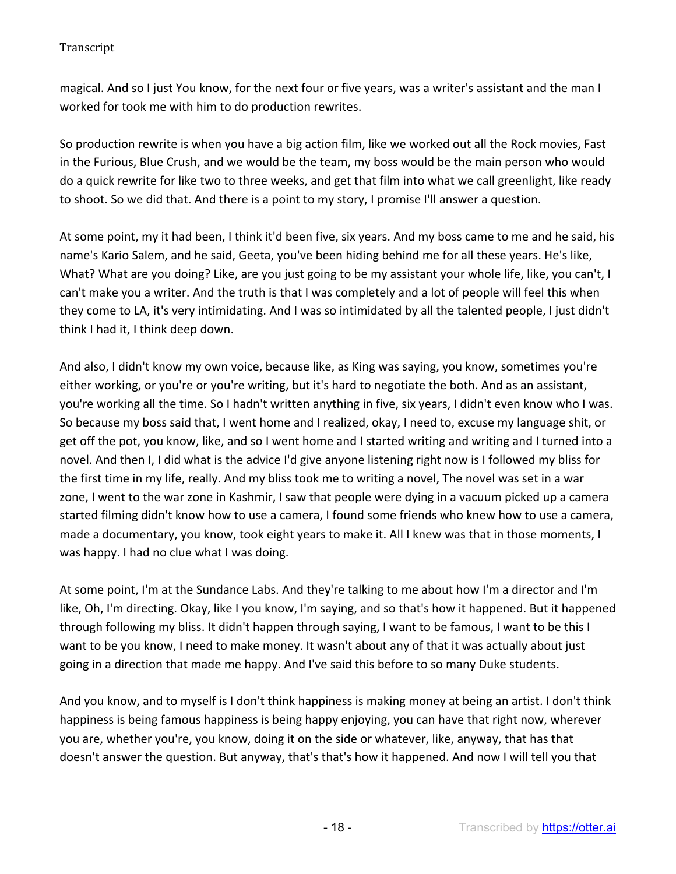magical. And so I just You know, for the next four or five years, was a writer's assistant and the man I worked for took me with him to do production rewrites.

So production rewrite is when you have a big action film, like we worked out all the Rock movies, Fast in the Furious, Blue Crush, and we would be the team, my boss would be the main person who would do a quick rewrite for like two to three weeks, and get that film into what we call greenlight, like ready to shoot. So we did that. And there is a point to my story, I promise I'll answer a question.

At some point, my it had been, I think it'd been five, six years. And my boss came to me and he said, his name's Kario Salem, and he said, Geeta, you've been hiding behind me for all these years. He's like, What? What are you doing? Like, are you just going to be my assistant your whole life, like, you can't, I can't make you a writer. And the truth is that I was completely and a lot of people will feel this when they come to LA, it's very intimidating. And I was so intimidated by all the talented people, I just didn't think I had it, I think deep down.

And also, I didn't know my own voice, because like, as King was saying, you know, sometimes you're either working, or you're or you're writing, but it's hard to negotiate the both. And as an assistant, you're working all the time. So I hadn't written anything in five, six years, I didn't even know who I was. So because my boss said that, I went home and I realized, okay, I need to, excuse my language shit, or get off the pot, you know, like, and so I went home and I started writing and writing and I turned into a novel. And then I, I did what is the advice I'd give anyone listening right now is I followed my bliss for the first time in my life, really. And my bliss took me to writing a novel, The novel was set in a war zone, I went to the war zone in Kashmir, I saw that people were dying in a vacuum picked up a camera started filming didn't know how to use a camera, I found some friends who knew how to use a camera, made a documentary, you know, took eight years to make it. All I knew was that in those moments, I was happy. I had no clue what I was doing.

At some point, I'm at the Sundance Labs. And they're talking to me about how I'm a director and I'm like, Oh, I'm directing. Okay, like I you know, I'm saying, and so that's how it happened. But it happened through following my bliss. It didn't happen through saying, I want to be famous, I want to be this I want to be you know, I need to make money. It wasn't about any of that it was actually about just going in a direction that made me happy. And I've said this before to so many Duke students.

And you know, and to myself is I don't think happiness is making money at being an artist. I don't think happiness is being famous happiness is being happy enjoying, you can have that right now, wherever you are, whether you're, you know, doing it on the side or whatever, like, anyway, that has that doesn't answer the question. But anyway, that's that's how it happened. And now I will tell you that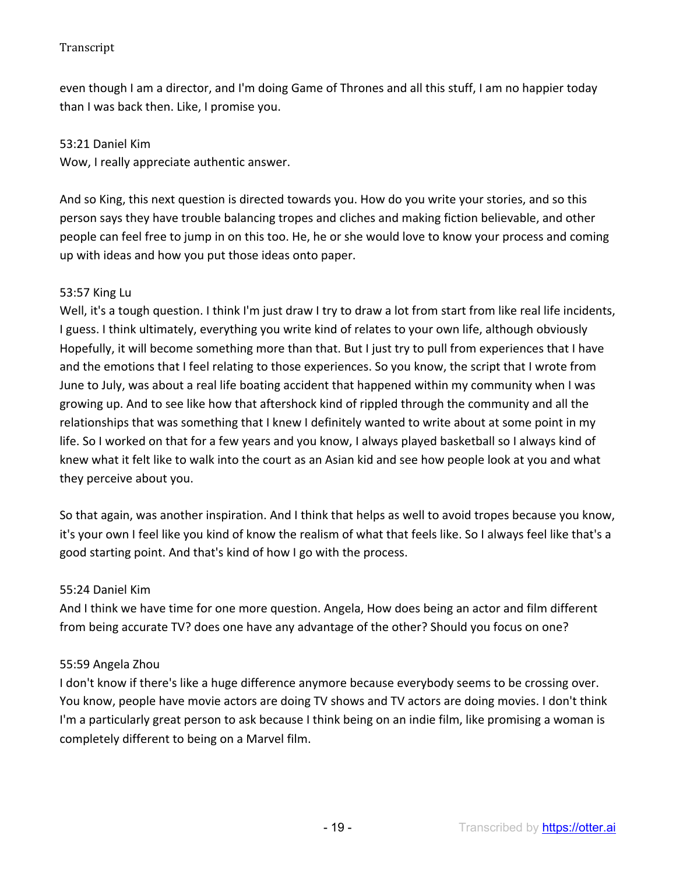even though I am a director, and I'm doing Game of Thrones and all this stuff, I am no happier today than I was back then. Like, I promise you.

#### 53:21 Daniel Kim

Wow, I really appreciate authentic answer.

And so King, this next question is directed towards you. How do you write your stories, and so this person says they have trouble balancing tropes and cliches and making fiction believable, and other people can feel free to jump in on this too. He, he or she would love to know your process and coming up with ideas and how you put those ideas onto paper.

#### 53:57 King Lu

Well, it's a tough question. I think I'm just draw I try to draw a lot from start from like real life incidents, I guess. I think ultimately, everything you write kind of relates to your own life, although obviously Hopefully, it will become something more than that. But I just try to pull from experiences that I have and the emotions that I feel relating to those experiences. So you know, the script that I wrote from June to July, was about a real life boating accident that happened within my community when I was growing up. And to see like how that aftershock kind of rippled through the community and all the relationships that was something that I knew I definitely wanted to write about at some point in my life. So I worked on that for a few years and you know, I always played basketball so I always kind of knew what it felt like to walk into the court as an Asian kid and see how people look at you and what they perceive about you.

So that again, was another inspiration. And I think that helps as well to avoid tropes because you know, it's your own I feel like you kind of know the realism of what that feels like. So I always feel like that's a good starting point. And that's kind of how I go with the process.

#### 55:24 Daniel Kim

And I think we have time for one more question. Angela, How does being an actor and film different from being accurate TV? does one have any advantage of the other? Should you focus on one?

## 55:59 Angela Zhou

I don't know if there's like a huge difference anymore because everybody seems to be crossing over. You know, people have movie actors are doing TV shows and TV actors are doing movies. I don't think I'm a particularly great person to ask because I think being on an indie film, like promising a woman is completely different to being on a Marvel film.